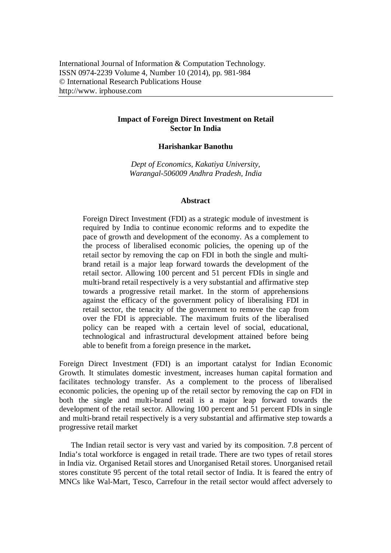## **Impact of Foreign Direct Investment on Retail Sector In India**

## **Harishankar Banothu**

*Dept of Economics, Kakatiya University, Warangal-506009 Andhra Pradesh, India*

## **Abstract**

Foreign Direct Investment (FDI) as a strategic module of investment is required by India to continue economic reforms and to expedite the pace of growth and development of the economy. As a complement to the process of liberalised economic policies, the opening up of the retail sector by removing the cap on FDI in both the single and multibrand retail is a major leap forward towards the development of the retail sector. Allowing 100 percent and 51 percent FDIs in single and multi-brand retail respectively is a very substantial and affirmative step towards a progressive retail market. In the storm of apprehensions against the efficacy of the government policy of liberalising FDI in retail sector, the tenacity of the government to remove the cap from over the FDI is appreciable. The maximum fruits of the liberalised policy can be reaped with a certain level of social, educational, technological and infrastructural development attained before being able to benefit from a foreign presence in the market**.** 

Foreign Direct Investment (FDI) is an important catalyst for Indian Economic Growth. It stimulates domestic investment, increases human capital formation and facilitates technology transfer. As a complement to the process of liberalised economic policies, the opening up of the retail sector by removing the cap on FDI in both the single and multi-brand retail is a major leap forward towards the development of the retail sector. Allowing 100 percent and 51 percent FDIs in single and multi-brand retail respectively is a very substantial and affirmative step towards a progressive retail market

The Indian retail sector is very vast and varied by its composition. 7.8 percent of India's total workforce is engaged in retail trade. There are two types of retail stores in India viz. Organised Retail stores and Unorganised Retail stores. Unorganised retail stores constitute 95 percent of the total retail sector of India. It is feared the entry of MNCs like Wal-Mart, Tesco, Carrefour in the retail sector would affect adversely to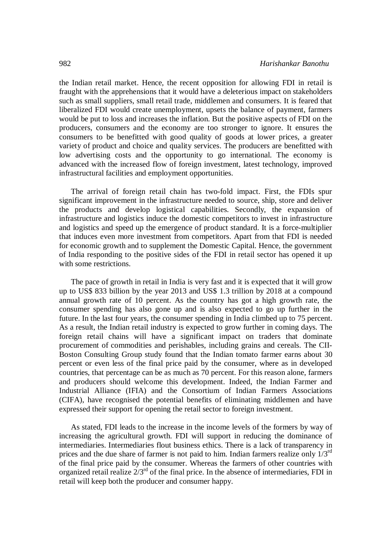the Indian retail market. Hence, the recent opposition for allowing FDI in retail is fraught with the apprehensions that it would have a deleterious impact on stakeholders such as small suppliers, small retail trade, middlemen and consumers. It is feared that liberalized FDI would create unemployment, upsets the balance of payment, farmers would be put to loss and increases the inflation. But the positive aspects of FDI on the producers, consumers and the economy are too stronger to ignore. It ensures the consumers to be benefitted with good quality of goods at lower prices, a greater variety of product and choice and quality services. The producers are benefitted with low advertising costs and the opportunity to go international. The economy is advanced with the increased flow of foreign investment, latest technology, improved infrastructural facilities and employment opportunities.

The arrival of foreign retail chain has two-fold impact. First, the FDIs spur significant improvement in the infrastructure needed to source, ship, store and deliver the products and develop logistical capabilities. Secondly, the expansion of infrastructure and logistics induce the domestic competitors to invest in infrastructure and logistics and speed up the emergence of product standard. It is a force-multiplier that induces even more investment from competitors. Apart from that FDI is needed for economic growth and to supplement the Domestic Capital. Hence, the government of India responding to the positive sides of the FDI in retail sector has opened it up with some restrictions.

The pace of growth in retail in India is very fast and it is expected that it will grow up to US\$ 833 billion by the year 2013 and US\$ 1.3 trillion by 2018 at a compound annual growth rate of 10 percent. As the country has got a high growth rate, the consumer spending has also gone up and is also expected to go up further in the future. In the last four years, the consumer spending in India climbed up to 75 percent. As a result, the Indian retail industry is expected to grow further in coming days. The foreign retail chains will have a significant impact on traders that dominate procurement of commodities and perishables, including grains and cereals. The CII-Boston Consulting Group study found that the Indian tomato farmer earns about 30 percent or even less of the final price paid by the consumer, where as in developed countries, that percentage can be as much as 70 percent. For this reason alone, farmers and producers should welcome this development. Indeed, the Indian Farmer and Industrial Alliance (IFIA) and the Consortium of Indian Farmers Associations (CIFA), have recognised the potential benefits of eliminating middlemen and have expressed their support for opening the retail sector to foreign investment.

As stated, FDI leads to the increase in the income levels of the formers by way of increasing the agricultural growth. FDI will support in reducing the dominance of intermediaries. Intermediaries flout business ethics. There is a lack of transparency in prices and the due share of farmer is not paid to him. Indian farmers realize only  $1/3^{rd}$ of the final price paid by the consumer. Whereas the farmers of other countries with organized retail realize  $2/3<sup>rd</sup>$  of the final price. In the absence of intermediaries, FDI in retail will keep both the producer and consumer happy.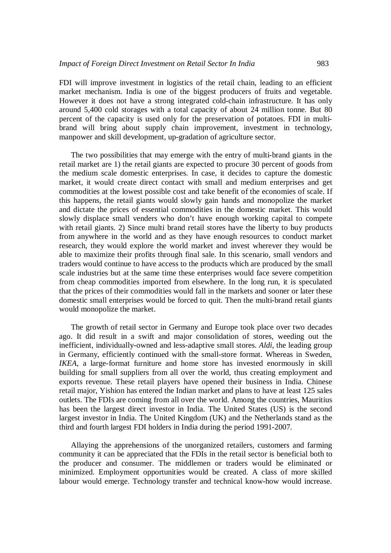FDI will improve investment in logistics of the retail chain, leading to an efficient market mechanism. India is one of the biggest producers of fruits and vegetable. However it does not have a strong integrated cold-chain infrastructure. It has only around 5,400 cold storages with a total capacity of about 24 million tonne. But 80 percent of the capacity is used only for the preservation of potatoes. FDI in multibrand will bring about supply chain improvement, investment in technology, manpower and skill development, up-gradation of agriculture sector.

The two possibilities that may emerge with the entry of multi-brand giants in the retail market are 1) the retail giants are expected to procure 30 percent of goods from the medium scale domestic enterprises. In case, it decides to capture the domestic market, it would create direct contact with small and medium enterprises and get commodities at the lowest possible cost and take benefit of the economies of scale. If this happens, the retail giants would slowly gain hands and monopolize the market and dictate the prices of essential commodities in the domestic market. This would slowly displace small venders who don't have enough working capital to compete with retail giants. 2) Since multi brand retail stores have the liberty to buy products from anywhere in the world and as they have enough resources to conduct market research, they would explore the world market and invest wherever they would be able to maximize their profits through final sale. In this scenario, small vendors and traders would continue to have access to the products which are produced by the small scale industries but at the same time these enterprises would face severe competition from cheap commodities imported from elsewhere. In the long run, it is speculated that the prices of their commodities would fall in the markets and sooner or later these domestic small enterprises would be forced to quit. Then the multi-brand retail giants would monopolize the market.

The growth of retail sector in Germany and Europe took place over two decades ago. It did result in a swift and major consolidation of stores, weeding out the inefficient, individually-owned and less-adaptive small stores. *Aldi*, the leading group in Germany, efficiently continued with the small-store format. Whereas in Sweden, *IKEA*, a large-format furniture and home store has invested enormously in skill building for small suppliers from all over the world, thus creating employment and exports revenue. These retail players have opened their business in India. Chinese retail major, Yishion has entered the Indian market and plans to have at least 125 sales outlets. The FDIs are coming from all over the world. Among the countries, Mauritius has been the largest direct investor in India. The United States (US) is the second largest investor in India. The United Kingdom (UK) and the Netherlands stand as the third and fourth largest FDI holders in India during the period 1991-2007.

Allaying the apprehensions of the unorganized retailers, customers and farming community it can be appreciated that the FDIs in the retail sector is beneficial both to the producer and consumer. The middlemen or traders would be eliminated or minimized. Employment opportunities would be created. A class of more skilled labour would emerge. Technology transfer and technical know-how would increase.